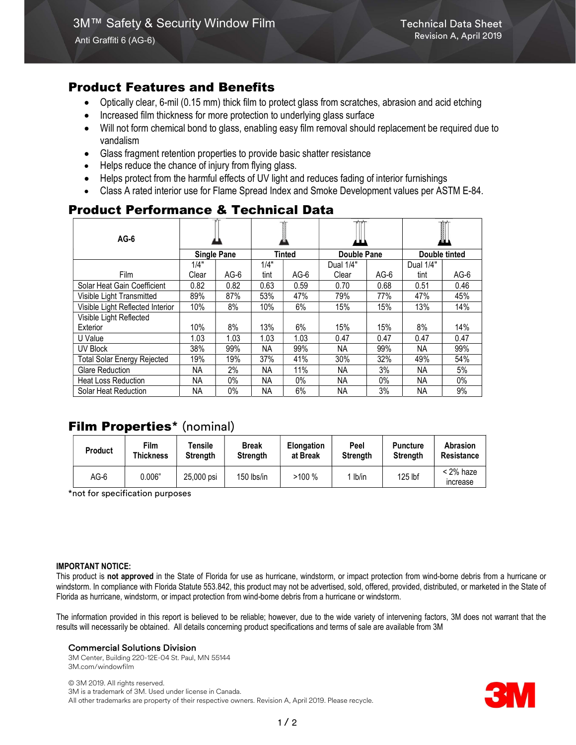# Product Features and Benefits

- Optically clear, 6-mil (0.15 mm) thick film to protect glass from scratches, abrasion and acid etching
- Increased film thickness for more protection to underlying glass surface
- Will not form chemical bond to glass, enabling easy film removal should replacement be required due to vandalism
- Glass fragment retention properties to provide basic shatter resistance
- Helps reduce the chance of injury from flying glass.
- Helps protect from the harmful effects of UV light and reduces fading of interior furnishings
- Class A rated interior use for Flame Spread Index and Smoke Development values per ASTM E-84.

# Product Performance & Technical Data

| $AG-6$                             |                    |        |               |        |                    |        | 1             |      |
|------------------------------------|--------------------|--------|---------------|--------|--------------------|--------|---------------|------|
|                                    | <b>Single Pane</b> |        | <b>Tinted</b> |        | <b>Double Pane</b> |        | Double tinted |      |
|                                    | 1/4"               |        | 1/4"          |        | Dual 1/4"          |        | Dual 1/4"     |      |
| Film                               | Clear              | $AG-6$ | tint          | $AG-6$ | Clear              | $AG-6$ | tint          | AG-6 |
| Solar Heat Gain Coefficient        | 0.82               | 0.82   | 0.63          | 0.59   | 0.70               | 0.68   | 0.51          | 0.46 |
| Visible Light Transmitted          | 89%                | 87%    | 53%           | 47%    | 79%                | 77%    | 47%           | 45%  |
| Visible Light Reflected Interior   | 10%                | 8%     | 10%           | 6%     | 15%                | 15%    | 13%           | 14%  |
| Visible Light Reflected            |                    |        |               |        |                    |        |               |      |
| Exterior                           | 10%                | 8%     | 13%           | 6%     | 15%                | 15%    | 8%            | 14%  |
| U Value                            | 1.03               | 1.03   | 1.03          | 1.03   | 0.47               | 0.47   | 0.47          | 0.47 |
| UV Block                           | 38%                | 99%    | NA.           | 99%    | NA.                | 99%    | NА            | 99%  |
| <b>Total Solar Energy Rejected</b> | 19%                | 19%    | 37%           | 41%    | 30%                | 32%    | 49%           | 54%  |
| <b>Glare Reduction</b>             | NA.                | 2%     | NA.           | 11%    | NA                 | 3%     | NA.           | 5%   |
| <b>Heat Loss Reduction</b>         | NA.                | 0%     | ΝA            | 0%     | NA                 | $0\%$  | NА            | 0%   |
| Solar Heat Reduction               | <b>NA</b>          | $0\%$  | <b>NA</b>     | 6%     | <b>NA</b>          | 3%     | <b>NA</b>     | 9%   |

# Film Properties\* (nominal)

| Product | Film      | <b>Fensile</b>  | <b>Break</b>    | <b>Elongation</b> | Peel            | <b>Puncture</b> | Abrasion                |
|---------|-----------|-----------------|-----------------|-------------------|-----------------|-----------------|-------------------------|
|         | Thickness | <b>Strenath</b> | <b>Strength</b> | at Break          | <b>Strength</b> | Strength        | Resistance              |
| $AG-6$  | 0.006"    | 25,000 psi      | 150 lbs/in      | >100%             | lb/in           | $125$ lbf       | $<$ 2% haze<br>increase |

\*not for specification purposes

### IMPORTANT NOTICE:

This product is not approved in the State of Florida for use as hurricane, windstorm, or impact protection from wind-borne debris from a hurricane or windstorm. In compliance with Florida Statute 553.842, this product may not be advertised, sold, offered, provided, distributed, or marketed in the State of Florida as hurricane, windstorm, or impact protection from wind-borne debris from a hurricane or windstorm.

The information provided in this report is believed to be reliable; however, due to the wide variety of intervening factors, 3M does not warrant that the results will necessarily be obtained. All details concerning product specifications and terms of sale are available from 3M

### Commercial Solutions Division

3M Center, Building 220-12E-04 St. Paul, MN 55144 3M.com/windowfilm

© 3M 2019. All rights reserved. 3M is a trademark of 3M. Used under license in Canada. All other trademarks are property of their respective owners. Revision A, April 2019. Please recycle.